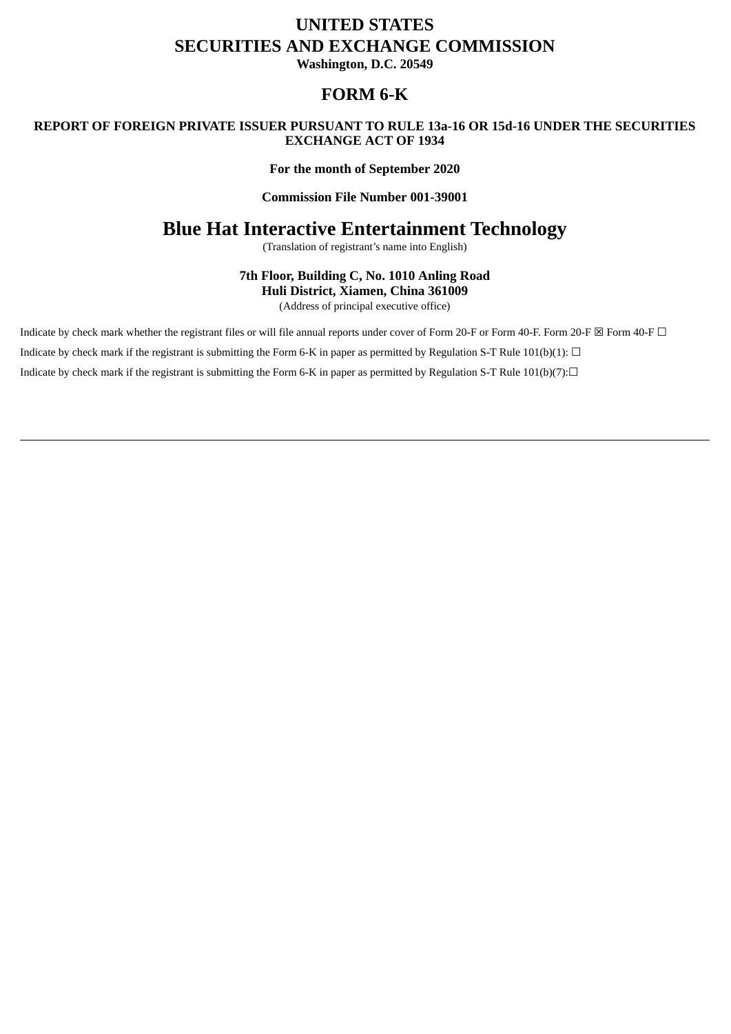# **UNITED STATES SECURITIES AND EXCHANGE COMMISSION**

**Washington, D.C. 20549**

## **FORM 6-K**

### **REPORT OF FOREIGN PRIVATE ISSUER PURSUANT TO RULE 13a-16 OR 15d-16 UNDER THE SECURITIES EXCHANGE ACT OF 1934**

### **For the month of September 2020**

### **Commission File Number 001-39001**

## **Blue Hat Interactive Entertainment Technology**

(Translation of registrant's name into English)

**7th Floor, Building C, No. 1010 Anling Road Huli District, Xiamen, China 361009**

(Address of principal executive office)

Indicate by check mark whether the registrant files or will file annual reports under cover of Form 20-F or Form 40-F. Form 20-F ⊠ Form 40-F □ Indicate by check mark if the registrant is submitting the Form 6-K in paper as permitted by Regulation S-T Rule 101(b)(1):  $\Box$ Indicate by check mark if the registrant is submitting the Form 6-K in paper as permitted by Regulation S-T Rule 101(b)(7): $\Box$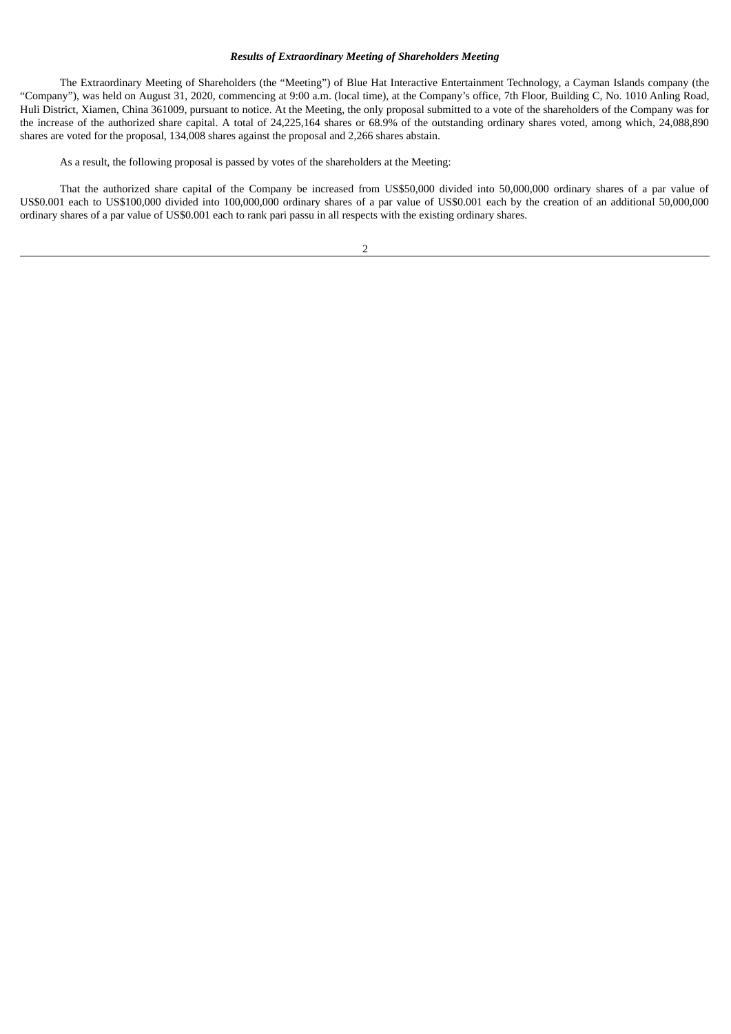#### *Results of Extraordinary Meeting of Shareholders Meeting*

The Extraordinary Meeting of Shareholders (the "Meeting") of Blue Hat Interactive Entertainment Technology, a Cayman Islands company (the "Company"), was held on August 31, 2020, commencing at 9:00 a.m. (local time), at the Company's office, 7th Floor, Building C, No. 1010 Anling Road, Huli District, Xiamen, China 361009, pursuant to notice. At the Meeting, the only proposal submitted to a vote of the shareholders of the Company was for the increase of the authorized share capital. A total of 24,225,164 shares or 68.9% of the outstanding ordinary shares voted, among which, 24,088,890 shares are voted for the proposal, 134,008 shares against the proposal and 2,266 shares abstain.

As a result, the following proposal is passed by votes of the shareholders at the Meeting:

That the authorized share capital of the Company be increased from US\$50,000 divided into 50,000,000 ordinary shares of a par value of US\$0.001 each to US\$100,000 divided into 100,000,000 ordinary shares of a par value of US\$0.001 each by the creation of an additional 50,000,000 ordinary shares of a par value of US\$0.001 each to rank pari passu in all respects with the existing ordinary shares.